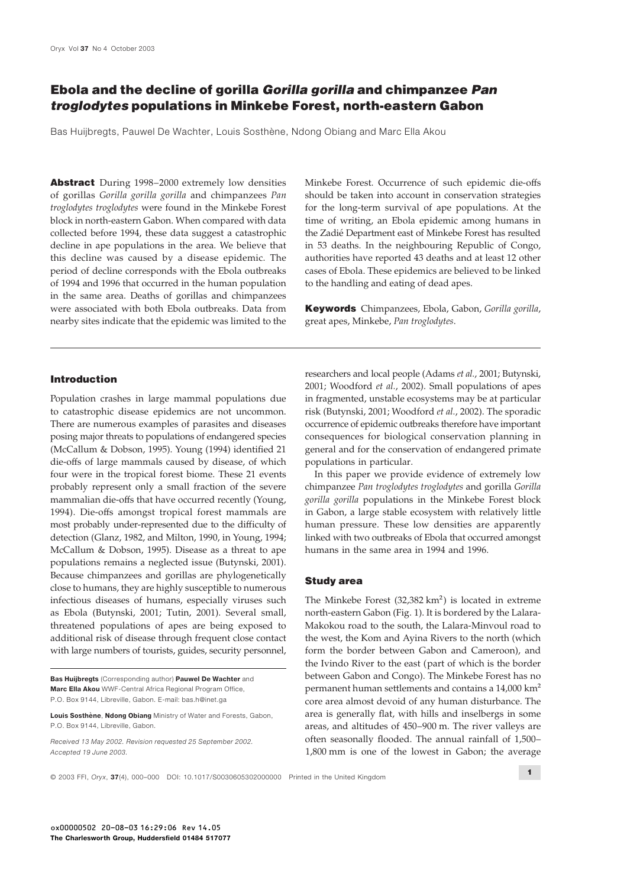# **Ebola and the decline of gorilla** *Gorilla gorilla* **and chimpanzee** *Pan troglodytes* **populations in Minkebe Forest, north-eastern Gabon**

Bas Huijbregts, Pauwel De Wachter, Louis Sosthène, Ndong Obiang and Marc Ella Akou

**Abstract** During 1998–2000 extremely low densities Minkebe Forest. Occurrence of such epidemic die-offs of gorillas *Gorilla gorilla gorilla* and chimpanzees *Pan* should be taken into account in conservation strategies *troglodytes troglodytes* were found in the Minkebe Forest for the long-term survival of ape populations. At the block in north-eastern Gabon. When compared with data time of writing, an Ebola epidemic among humans in collected before 1994, these data suggest a catastrophic the Zadié Department east of Minkebe Forest has resulted decline in ape populations in the area. We believe that in 53 deaths. In the neighbouring Republic of Congo, this decline was caused by a disease epidemic. The authorities have reported 43 deaths and at least 12 other period of decline corresponds with the Ebola outbreaks cases of Ebola. These epidemics are believed to be linked of 1994 and 1996 that occurred in the human population to the handling and eating of dead apes. in the same area. Deaths of gorillas and chimpanzees were associated with both Ebola outbreaks. Data from **Keywords** Chimpanzees, Ebola, Gabon, *Gorilla gorilla*, nearby sites indicate that the epidemic was limited to the great apes, Minkebe, *Pan troglodytes*.

to catastrophic disease epidemics are not uncommon. risk (Butynski, 2001; Woodford *et al.*, 2002). The sporadic There are numerous examples of parasites and diseases occurrence of epidemic outbreaks therefore have important posing major threats to populations of endangered species consequences for biological conservation planning in (McCallum & Dobson, 1995). Young (1994) identified 21 general and for the conservation of endangered primate die-offs of large mammals caused by disease, of which populations in particular. four were in the tropical forest biome. These 21 events In this paper we provide evidence of extremely low probably represent only a small fraction of the severe chimpanzee *Pan troglodytes troglodytes* and gorilla *Gorilla* mammalian die-offs that have occurred recently (Young, *gorilla gorilla populations in the Minkebe Forest block* 1994). Die-offs amongst tropical forest mammals are in Gabon, a large stable ecosystem with relatively little most probably under-represented due to the difficulty of human pressure. These low densities are apparently detection (Glanz, 1982, and Milton, 1990, in Young, 1994; linked with two outbreaks of Ebola that occurred amongst McCallum & Dobson, 1995). Disease as a threat to ape humans in the same area in 1994 and 1996. populations remains a neglected issue (Butynski, 2001). Because chimpanzees and gorillas are phylogenetically **Study area** close to humans, they are highly susceptible to numerous infectious diseases of humans, especially viruses such The Minkebe Forest  $(32,382 \text{ km}^2)$  is located in extreme

**Introduction**<br>**Introduction** 2001; Woodford *et al.*, 2002). Small populations of apes Population crashes in large mammal populations due in fragmented, unstable ecosystems may be at particular

as Ebola (Butynski, 2001; Tutin, 2001). Several small, north-eastern Gabon (Fig. 1). It is bordered by the Lalarathreatened populations of apes are being exposed to Makokou road to the south, the Lalara-Minvoul road to additional risk of disease through frequent close contact the west, the Kom and Ayina Rivers to the north (which with large numbers of tourists, guides, security personnel, form the border between Gabon and Cameroon), and the Ivindo River to the east (part of which is the border Bas Huijbregts (Corresponding author) Pauwel De Wachter and between Gabon and Congo). The Minkebe Forest has no Marc Ella Akou WWF-Central Africa Regional Program Office, permanent human settlements and contains a 14,000 km<sup>2</sup> P.O. Box 9144, Libreville, Gabon. E-mail: bas.h@inet.ga core area almost devoid of any human disturbance. The Louis Sosthène, Ndong Obiang Ministry of Water and Forests, Gabon, area is generally flat, with hills and inselbergs in some P.O. Box 9144, Libreville, Gabon. **areas, and altitudes of 450–900 m. The river valleys are properties** Received 13 May 2002. Revision requested 25 September 2002. **often seasonally flooded. The annual rainfall of 1,500** Accepted 19 June 2003. 1,800 mm is one of the lowest in Gabon; the average

© 2003 FFI, Oryx, 37(4), 000–000 DOI: 10.1017/S0030605302000000 Printed in the United Kingdom

**1**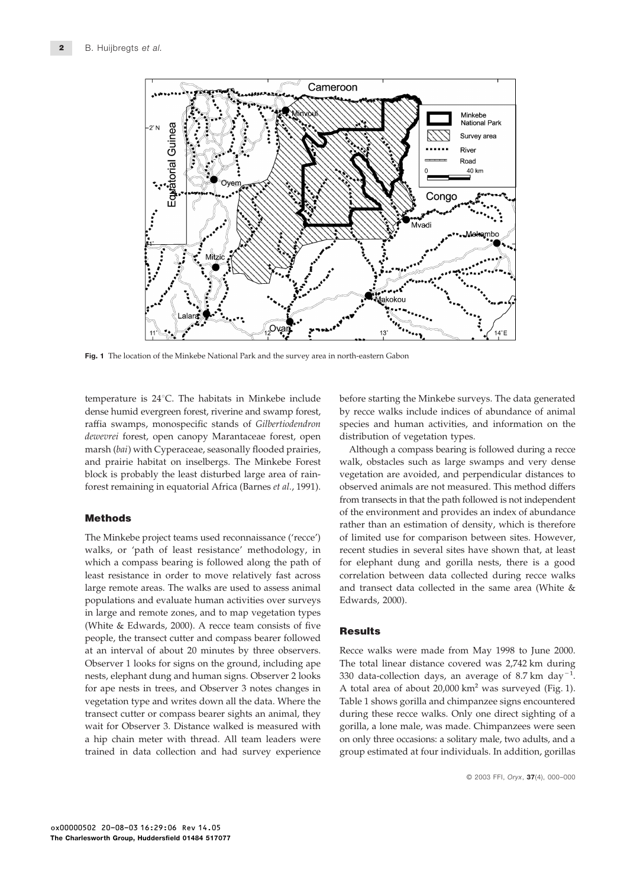

Fig. 1 The location of the Minkebe National Park and the survey area in north-eastern Gabon

temperature is 24°C. The habitats in Minkebe include before starting the Minkebe surveys. The data generated dense humid evergreen forest, riverine and swamp forest, by recce walks include indices of abundance of animal raffia swamps, monospecific stands of *Gilbertiodendron* species and human activities, and information on the *dewevrei* forest, open canopy Marantaceae forest, open distribution of vegetation types. marsh (*bai*) with Cyperaceae, seasonally flooded prairies, Although a compass bearing is followed during a recce and prairie habitat on inselbergs. The Minkebe Forest walk, obstacles such as large swamps and very dense block is probably the least disturbed large area of rain- vegetation are avoided, and perpendicular distances to forest remaining in equatorial Africa (Barnes *et al.*, 1991). observed animals are not measured. This method differs

walks, or 'path of least resistance' methodology, in recent studies in several sites have shown that, at least which a compass bearing is followed along the path of for elephant dung and gorilla nests, there is a good least resistance in order to move relatively fast across correlation between data collected during recce walks large remote areas. The walks are used to assess animal and transect data collected in the same area (White & populations and evaluate human activities over surveys Edwards, 2000). in large and remote zones, and to map vegetation types (White & Edwards, 2000). A recce team consists of five **Results** people, the transect cutter and compass bearer followed at an interval of about 20 minutes by three observers. Recce walks were made from May 1998 to June 2000. Observer 1 looks for signs on the ground, including ape The total linear distance covered was 2,742 km during nests, elephant dung and human signs. Observer 2 looks 330 data-collection days, an average of 8.7 km day−1. for ape nests in trees, and Observer 3 notes changes in A total area of about 20,000 km<sup>2</sup> was surveyed (Fig. 1). vegetation type and writes down all the data. Where the Table 1 shows gorilla and chimpanzee signs encountered transect cutter or compass bearer sights an animal, they during these recce walks. Only one direct sighting of a wait for Observer 3. Distance walked is measured with gorilla, a lone male, was made. Chimpanzees were seen a hip chain meter with thread. All team leaders were on only three occasions: a solitary male, two adults, and a

from transects in that the path followed is not independent **Methods** of the environment and provides an index of abundance rather than an estimation of density, which is therefore The Minkebe project teams used reconnaissance ('recce') of limited use for comparison between sites. However,

trained in data collection and had survey experience group estimated at four individuals. In addition, gorillas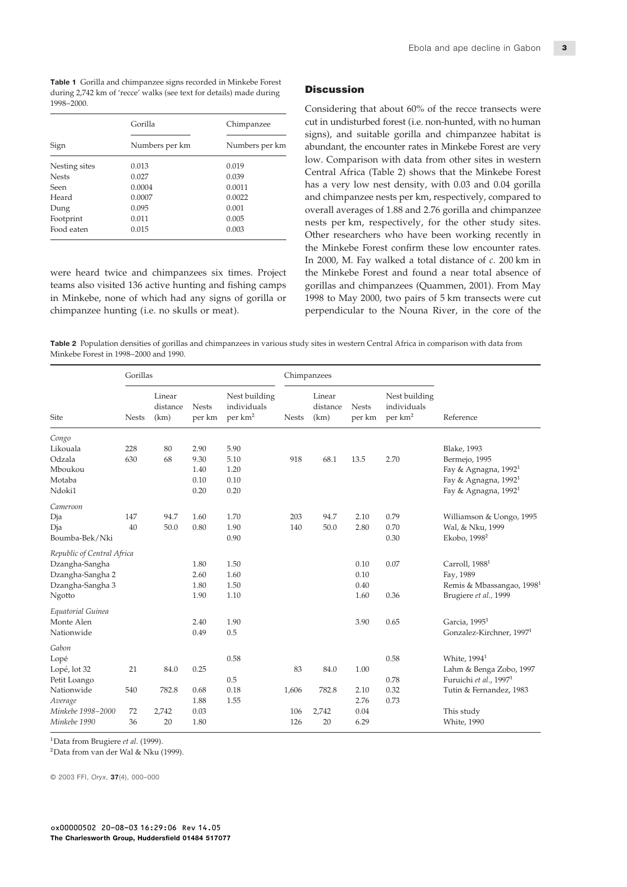Table 1 Gorilla and chimpanzee signs recorded in Minkebe Forest during 2,742 km of 'recce' walks (see text for details) made during **Discussion** 1998–2000. Considering that about 60% of the recce transects were

|               | Gorilla        | Chimpanzee     |  |  |
|---------------|----------------|----------------|--|--|
| Sign          | Numbers per km | Numbers per km |  |  |
| Nesting sites | 0.013          | 0.019          |  |  |
| <b>Nests</b>  | 0.027          | 0.039          |  |  |
| Seen          | 0.0004         | 0.0011         |  |  |
| Heard         | 0.0007         | 0.0022         |  |  |
| Dung          | 0.095          | 0.001          |  |  |
| Footprint     | 0.011          | 0.005          |  |  |
| Food eaten    | 0.015          | 0.003          |  |  |

teams also visited 136 active hunting and fishing camps gorillas and chimpanzees (Quammen, 2001). From May in Minkebe, none of which had any signs of gorilla or 1998 to May 2000, two pairs of 5 km transects were cut chimpanzee hunting (i.e. no skulls or meat). perpendicular to the Nouna River, in the core of the

cut in undisturbed forest (i.e. non-hunted, with no human signs), and suitable gorilla and chimpanzee habitat is abundant, the encounter rates in Minkebe Forest are very low. Comparison with data from other sites in western Central Africa (Table 2) shows that the Minkebe Forest has a very low nest density, with 0.03 and 0.04 gorilla and chimpanzee nests per km, respectively, compared to overall averages of 1.88 and 2.76 gorilla and chimpanzee nests per km, respectively, for the other study sites.<br>Other researchers who have been working recently in the Minkebe Forest confirm these low encounter rates. In 2000, M. Fay walked a total distance of *c*. 200 km in were heard twice and chimpanzees six times. Project the Minkebe Forest and found a near total absence of

Table 2 Population densities of gorillas and chimpanzees in various study sites in western Central Africa in comparison with data from Minkebe Forest in 1998–2000 and 1990.

|                            | Gorillas     |                            |                        |                                                     | Chimpanzees  |                            |                        |                                                     |                                       |
|----------------------------|--------------|----------------------------|------------------------|-----------------------------------------------------|--------------|----------------------------|------------------------|-----------------------------------------------------|---------------------------------------|
| Site                       | <b>Nests</b> | Linear<br>distance<br>(km) | <b>Nests</b><br>per km | Nest building<br>individuals<br>per km <sup>2</sup> | <b>Nests</b> | Linear<br>distance<br>(km) | <b>Nests</b><br>per km | Nest building<br>individuals<br>per km <sup>2</sup> | Reference                             |
| Congo                      |              |                            |                        |                                                     |              |                            |                        |                                                     |                                       |
| Likouala                   | 228          | 80                         | 2.90                   | 5.90                                                |              |                            |                        |                                                     | <b>Blake</b> , 1993                   |
| Odzala                     | 630          | 68                         | 9.30                   | 5.10                                                | 918          | 68.1                       | 13.5                   | 2.70                                                | Bermejo, 1995                         |
| Mboukou                    |              |                            | 1.40                   | 1.20                                                |              |                            |                        |                                                     | Fay & Agnagna, $1992^1$               |
| Motaba                     |              |                            | 0.10                   | 0.10                                                |              |                            |                        |                                                     | Fay & Agnagna, 1992 <sup>1</sup>      |
| Ndoki1                     |              |                            | 0.20                   | 0.20                                                |              |                            |                        |                                                     | Fay & Agnagna, 1992 <sup>1</sup>      |
| Cameroon                   |              |                            |                        |                                                     |              |                            |                        |                                                     |                                       |
| Dja                        | 147          | 94.7                       | 1.60                   | 1.70                                                | 203          | 94.7                       | 2.10                   | 0.79                                                | Williamson & Uongo, 1995              |
| Dja                        | 40           | 50.0                       | 0.80                   | 1.90                                                | 140          | 50.0                       | 2.80                   | 0.70                                                | Wal, & Nku, 1999                      |
| Boumba-Bek/Nki             |              |                            |                        | 0.90                                                |              |                            |                        | 0.30                                                | Ekobo, 1998 <sup>2</sup>              |
| Republic of Central Africa |              |                            |                        |                                                     |              |                            |                        |                                                     |                                       |
| Dzangha-Sangha             |              |                            | 1.80                   | 1.50                                                |              |                            | 0.10                   | 0.07                                                | Carroll, 1988 <sup>1</sup>            |
| Dzangha-Sangha 2           |              |                            | 2.60                   | 1.60                                                |              |                            | 0.10                   |                                                     | Fay, 1989                             |
| Dzangha-Sangha 3           |              |                            | 1.80                   | 1.50                                                |              |                            | 0.40                   |                                                     | Remis & Mbassangao, 1998 <sup>1</sup> |
| Ngotto                     |              |                            | 1.90                   | 1.10                                                |              |                            | 1.60                   | 0.36                                                | Brugiere et al., 1999                 |
| Equatorial Guinea          |              |                            |                        |                                                     |              |                            |                        |                                                     |                                       |
| Monte Alen                 |              |                            | 2.40                   | 1.90                                                |              |                            | 3.90                   | 0.65                                                | Garcia, 1995 <sup>1</sup>             |
| Nationwide                 |              |                            | 0.49                   | 0.5                                                 |              |                            |                        |                                                     | Gonzalez-Kirchner, 1997 <sup>1</sup>  |
| Gabon                      |              |                            |                        |                                                     |              |                            |                        |                                                     |                                       |
| Lopé                       |              |                            |                        | 0.58                                                |              |                            |                        | 0.58                                                | White, 1994 <sup>1</sup>              |
| Lopé, lot 32               | 21           | 84.0                       | 0.25                   |                                                     | 83           | 84.0                       | 1.00                   |                                                     | Lahm & Benga Zobo, 1997               |
| Petit Loango               |              |                            |                        | 0.5                                                 |              |                            |                        | 0.78                                                | Furuichi et al., 1997 <sup>1</sup>    |
| Nationwide                 | 540          | 782.8                      | 0.68                   | 0.18                                                | 1,606        | 782.8                      | 2.10                   | 0.32                                                | Tutin & Fernandez, 1983               |
| Average                    |              |                            | 1.88                   | 1.55                                                |              |                            | 2.76                   | 0.73                                                |                                       |
| Minkebe 1998-2000          | 72           | 2,742                      | 0.03                   |                                                     | 106          | 2,742                      | 0.04                   |                                                     | This study                            |
| Minkebe 1990               | 36           | 20                         | 1.80                   |                                                     | 126          | 20                         | 6.29                   |                                                     | <b>White</b> , 1990                   |
|                            |              |                            |                        |                                                     |              |                            |                        |                                                     |                                       |

1Data from Brugiere *et al.* (1999).

2Data from van der Wal & Nku (1999).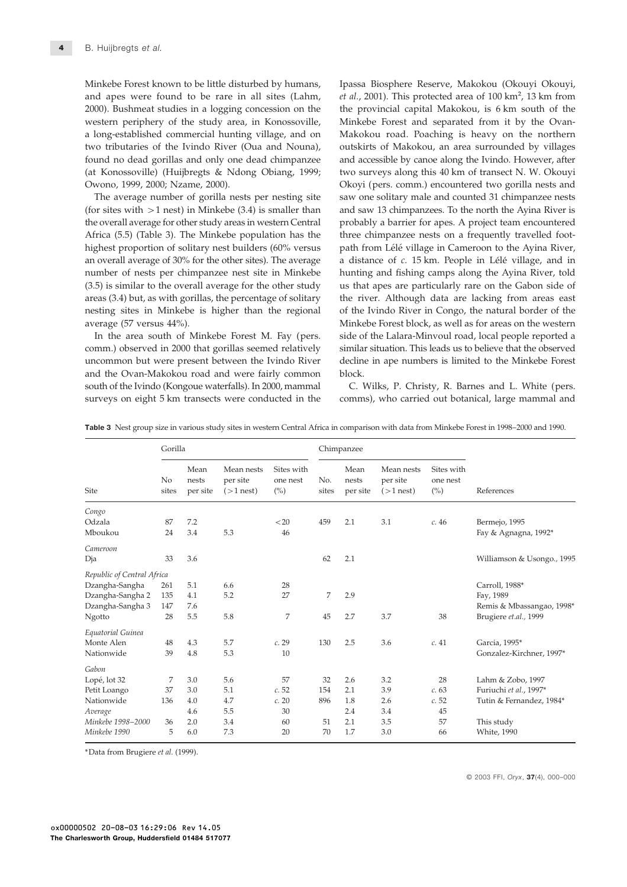Minkebe Forest known to be little disturbed by humans, Ipassa Biosphere Reserve, Makokou (Okouyi Okouyi, and apes were found to be rare in all sites (Lahm, *et al.*, 2001). This protected area of 100 km<sup>2</sup>, 13 km from 2000). Bushmeat studies in a logging concession on the the provincial capital Makokou, is 6 km south of the western periphery of the study area, in Konossoville, Minkebe Forest and separated from it by the Ovana long-established commercial hunting village, and on Makokou road. Poaching is heavy on the northern two tributaries of the Ivindo River (Oua and Nouna), outskirts of Makokou, an area surrounded by villages found no dead gorillas and only one dead chimpanzee and accessible by canoe along the Ivindo. However, after (at Konossoville) (Huijbregts & Ndong Obiang, 1999; two surveys along this 40 km of transect N. W. Okouyi Owono, 1999, 2000; Nzame, 2000). Okoyi (pers. comm.) encountered two gorilla nests and

(for sites with  $>1$  nest) in Minkebe (3.4) is smaller than and saw 13 chimpanzees. To the north the Ayina River is the overall average for other study areas in western Central probably a barrier for apes. A project team encountered Africa (5.5) (Table 3). The Minkebe population has the three chimpanzee nests on a frequently travelled foothighest proportion of solitary nest builders (60% versus path from Lélé village in Cameroon to the Ayina River, an overall average of 30% for the other sites). The average a distance of *c*. 15 km. People in Lélé village, and in number of nests per chimpanzee nest site in Minkebe hunting and fishing camps along the Ayina River, told (3.5) is similar to the overall average for the other study us that apes are particularly rare on the Gabon side of areas (3.4) but, as with gorillas, the percentage of solitary the river. Although data are lacking from areas east nesting sites in Minkebe is higher than the regional of the Ivindo River in Congo, the natural border of the

comm.) observed in 2000 that gorillas seemed relatively similar situation. This leads us to believe that the observed uncommon but were present between the Ivindo River decline in ape numbers is limited to the Minkebe Forest and the Ovan-Makokou road and were fairly common block. south of the Ivindo (Kongoue waterfalls). In 2000, mammal C. Wilks, P. Christy, R. Barnes and L. White (pers. surveys on eight 5 km transects were conducted in the comms), who carried out botanical, large mammal and

The average number of gorilla nests per nesting site saw one solitary male and counted 31 chimpanzee nests average (57 versus 44%). Minkebe Forest block, as well as for areas on the western In the area south of Minkebe Forest M. Fay (pers. side of the Lalara-Minvoul road, local people reported a

Table 3 Nest group size in various study sites in western Central Africa in comparison with data from Minkebe Forest in 1998–2000 and 1990.

|                            | Gorilla                 |                           |                                       |                               | Chimpanzee   |                           |                                       |                               |                            |
|----------------------------|-------------------------|---------------------------|---------------------------------------|-------------------------------|--------------|---------------------------|---------------------------------------|-------------------------------|----------------------------|
| <b>Site</b>                | N <sub>o</sub><br>sites | Mean<br>nests<br>per site | Mean nests<br>per site<br>$(>1$ nest) | Sites with<br>one nest<br>(%) | No.<br>sites | Mean<br>nests<br>per site | Mean nests<br>per site<br>$(>1$ nest) | Sites with<br>one nest<br>(%) | References                 |
| Congo                      |                         |                           |                                       |                               |              |                           |                                       |                               |                            |
| Odzala                     | 87                      | 7.2                       |                                       | < 20                          | 459          | 2.1                       | 3.1                                   | c.46                          | Bermejo, 1995              |
| Mboukou                    | 24                      | 3.4                       | 5.3                                   | 46                            |              |                           |                                       |                               | Fay & Agnagna, 1992*       |
| Cameroon                   |                         |                           |                                       |                               |              |                           |                                       |                               |                            |
| Dja                        | 33                      | 3.6                       |                                       |                               | 62           | 2.1                       |                                       |                               | Williamson & Usongo., 1995 |
| Republic of Central Africa |                         |                           |                                       |                               |              |                           |                                       |                               |                            |
| Dzangha-Sangha             | 261                     | 5.1                       | 6.6                                   | 28                            |              |                           |                                       |                               | Carroll, 1988*             |
| Dzangha-Sangha 2           | 135                     | 4.1                       | 5.2                                   | 27                            | 7            | 2.9                       |                                       |                               | Fay, 1989                  |
| Dzangha-Sangha 3           | 147                     | 7.6                       |                                       |                               |              |                           |                                       |                               | Remis & Mbassangao, 1998*  |
| Ngotto                     | 28                      | 5.5                       | 5.8                                   | 7                             | 45           | 2.7                       | 3.7                                   | 38                            | Brugiere et.al., 1999      |
| Equatorial Guinea          |                         |                           |                                       |                               |              |                           |                                       |                               |                            |
| Monte Alen                 | 48                      | 4.3                       | 5.7                                   | c.29                          | 130          | 2.5                       | 3.6                                   | c.41                          | Garcia, 1995*              |
| Nationwide                 | 39                      | 4.8                       | 5.3                                   | 10                            |              |                           |                                       |                               | Gonzalez-Kirchner, 1997*   |
| Gabon                      |                         |                           |                                       |                               |              |                           |                                       |                               |                            |
| Lopé, lot 32               | 7                       | 3.0                       | 5.6                                   | 57                            | 32           | 2.6                       | 3.2                                   | 28                            | Lahm & Zobo, 1997          |
| Petit Loango               | 37                      | 3.0                       | 5.1                                   | c.52                          | 154          | 2.1                       | 3.9                                   | c.63                          | Furiuchi et al., 1997*     |
| Nationwide                 | 136                     | 4.0                       | 4.7                                   | c.20                          | 896          | 1.8                       | 2.6                                   | c.52                          | Tutin & Fernandez, 1984*   |
| Average                    |                         | 4.6                       | 5.5                                   | 30                            |              | 2.4                       | 3.4                                   | 45                            |                            |
| Minkebe 1998-2000          | 36                      | 2.0                       | 3.4                                   | 60                            | 51           | 2.1                       | 3.5                                   | 57                            | This study                 |
| Minkebe 1990               | 5                       | 6.0                       | 7.3                                   | 20                            | 70           | 1.7                       | 3.0                                   | 66                            | <b>White</b> , 1990        |

\*Data from Brugiere *et al.* (1999).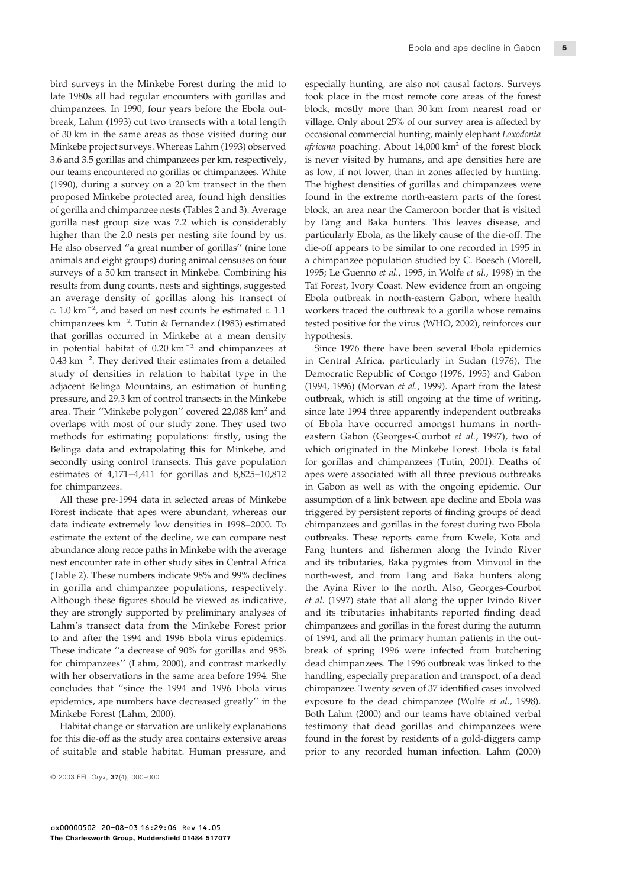late 1980s all had regular encounters with gorillas and took place in the most remote core areas of the forest chimpanzees. In 1990, four years before the Ebola out- block, mostly more than 30 km from nearest road or break, Lahm (1993) cut two transects with a total length village. Only about 25% of our survey area is affected by of 30 km in the same areas as those visited during our occasional commercial hunting, mainly elephant *Loxodonta* Minkebe project surveys. Whereas Lahm (1993) observed *africana* poaching. About 14,000 km<sup>2</sup> of the forest block 3.6 and 3.5 gorillas and chimpanzees per km, respectively, is never visited by humans, and ape densities here are our teams encountered no gorillas or chimpanzees. White as low, if not lower, than in zones affected by hunting. (1990), during a survey on a 20 km transect in the then The highest densities of gorillas and chimpanzees were proposed Minkebe protected area, found high densities found in the extreme north-eastern parts of the forest of gorilla and chimpanzee nests (Tables 2 and 3). Average block, an area near the Cameroon border that is visited gorilla nest group size was 7.2 which is considerably by Fang and Baka hunters. This leaves disease, and higher than the 2.0 nests per nesting site found by us. particularly Ebola, as the likely cause of the die-off. The He also observed "a great number of gorillas" (nine lone die-off appears to be similar to one recorded in 1995 in animals and eight groups) during animal censuses on four a chimpanzee population studied by C. Boesch (Morell, surveys of a 50 km transect in Minkebe. Combining his 1995; Le Guenno *et al.*, 1995, in Wolfe *et al.*, 1998) in the results from dung counts, nests and sightings, suggested Taı¨ Forest, Ivory Coast. New evidence from an ongoing an average density of gorillas along his transect of Ebola outbreak in north-eastern Gabon, where health *c.* 1.0 km−2, and based on nest counts he estimated *c.* 1.1 workers traced the outbreak to a gorilla whose remains chimpanzees km−2. Tutin & Fernandez (1983) estimated tested positive for the virus (WHO, 2002), reinforces our that gorillas occurred in Minkebe at a mean density hypothesis. in potential habitat of 0.20 km−2 and chimpanzees at Since 1976 there have been several Ebola epidemics 0.43 km−2. They derived their estimates from a detailed in Central Africa, particularly in Sudan (1976), The study of densities in relation to habitat type in the Democratic Republic of Congo (1976, 1995) and Gabon adjacent Belinga Mountains, an estimation of hunting (1994, 1996) (Morvan *et al.*, 1999). Apart from the latest pressure, and 29.3 km of control transects in the Minkebe outbreak, which is still ongoing at the time of writing, area. Their "Minkebe polygon" covered 22,088 km<sup>2</sup> and since late 1994 three apparently independent outbreaks overlaps with most of our study zone. They used two of Ebola have occurred amongst humans in northmethods for estimating populations: firstly, using the eastern Gabon (Georges-Courbot *et al.*, 1997), two of Belinga data and extrapolating this for Minkebe, and which originated in the Minkebe Forest. Ebola is fatal secondly using control transects. This gave population for gorillas and chimpanzees (Tutin, 2001). Deaths of estimates of 4,171–4,411 for gorillas and 8,825–10,812 apes were associated with all three previous outbreaks for chimpanzees. in Gabon as well as with the ongoing epidemic. Our

Forest indicate that apes were abundant, whereas our triggered by persistent reports of finding groups of dead data indicate extremely low densities in 1998–2000. To chimpanzees and gorillas in the forest during two Ebola estimate the extent of the decline, we can compare nest outbreaks. These reports came from Kwele, Kota and abundance along recce paths in Minkebe with the average Fang hunters and fishermen along the Ivindo River nest encounter rate in other study sites in Central Africa and its tributaries, Baka pygmies from Minvoul in the (Table 2). These numbers indicate 98% and 99% declines north-west, and from Fang and Baka hunters along in gorilla and chimpanzee populations, respectively. the Ayina River to the north. Also, Georges-Courbot Although these figures should be viewed as indicative, *et al.* (1997) state that all along the upper Ivindo River they are strongly supported by preliminary analyses of and its tributaries inhabitants reported finding dead Lahm's transect data from the Minkebe Forest prior chimpanzees and gorillas in the forest during the autumn to and after the 1994 and 1996 Ebola virus epidemics. of 1994, and all the primary human patients in the out-These indicate "a decrease of 90% for gorillas and 98% break of spring 1996 were infected from butchering for chimpanzees'' (Lahm, 2000), and contrast markedly dead chimpanzees. The 1996 outbreak was linked to the with her observations in the same area before 1994. She handling, especially preparation and transport, of a dead concludes that ''since the 1994 and 1996 Ebola virus chimpanzee. Twenty seven of 37 identified cases involved epidemics, ape numbers have decreased greatly'' in the exposure to the dead chimpanzee (Wolfe *et al.,* 1998). Minkebe Forest (Lahm, 2000). Both Lahm (2000) and our teams have obtained verbal

for this die-off as the study area contains extensive areas found in the forest by residents of a gold-diggers camp

bird surveys in the Minkebe Forest during the mid to especially hunting, are also not causal factors. Surveys

All these pre-1994 data in selected areas of Minkebe assumption of a link between ape decline and Ebola was Habitat change or starvation are unlikely explanations testimony that dead gorillas and chimpanzees were of suitable and stable habitat. Human pressure, and prior to any recorded human infection. Lahm (2000)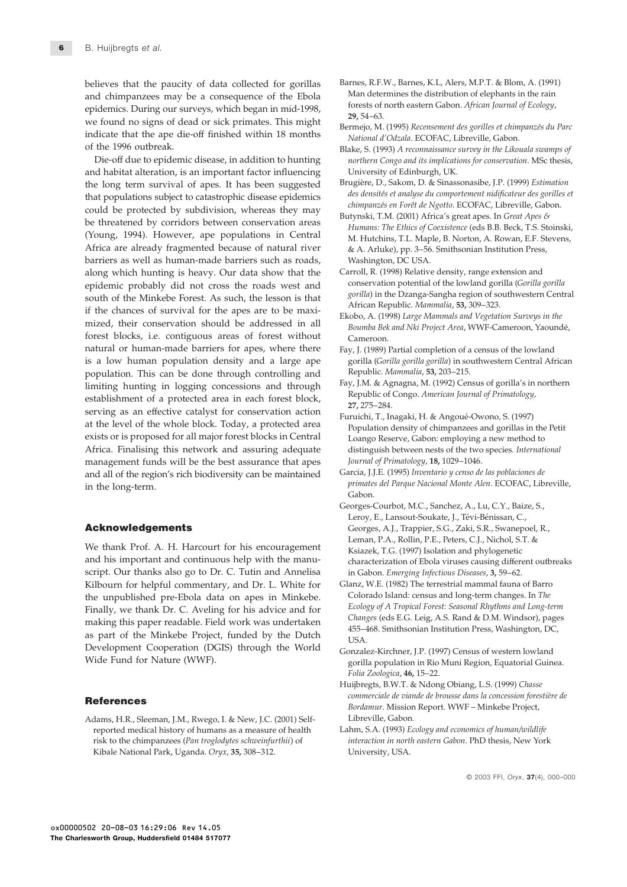believes that the paucity of data collected for gorillas Barnes, R.F.W., Barnes, K.L, Alers, M.P.T. & Blom, A. (1991)<br>and chimnanzees may be a consequence of the Ebola Man determines the distribution of elephants in the ra and chimpanzees may be a consequence of the Ebola Plan determines the distribution of elephants in the rain epidemics. During our surveys, which began in mid-1998,<br>we found no signs of dead or sick primates. This might Ber indicate that the ape die-off finished within 18 months<br> *National d'Odzala.* ECOFAC, Libreville, Gabon.<br> *National d'Odzala.* ECOFAC, Libreville, Gabon.

and habitat alteration, is an important factor influencing University of Edinburgh, UK. the long term survival of apes. It has been suggested Brugière, D., Sakom, D. & Sinassonasibe, J.P. (1999) *Estimation*<br>that populations subject to categorial discase opidemics des densités et analyse du comportement nidif that populations subject to catastrophic disease epidemics<br>
could be protected by subdivision, whereas they may<br>
be threatened by corridors between conservation areas<br>
(Young, 1994). However, ape populations in Central<br>
Co Africa are already fragmented because of natural river & A. Arluke), pp. 3-56. Smithsonian Institution Press, barriers as well as human-made barriers such as roads, Washington, DC USA. along which hunting is heavy. Our data show that the Carroll, R. (1998) Relative density, range extension and exidemic probably did not cross the roads west and conservation potential of the lowland gorilla (Gorilla gorill epidemic probably did not cross the roads west and<br>south of the Minkebe Forest. As such, the lesson is that<br>if the chances of survival for the apes are to be maxi-<br>mized, their conservation should be addressed in all<br>mized mized, their conservation should be addressed in all Boumba Bek and Nki Project Area, WWF-Cameroon, Yaoundé, forest blocks, i.e. contiguous areas of forest without Cameroon. natural or human-made barriers for apes, where there Fay, J. (1989) Partial completion of a census of the lowland is a low human population density and a large ape gorilla (*Gorilla gorilla gorilla*) in southwestern Central African population. This can be done through controlling and Republic. *Mammalia*, 53, 203–215.<br>
limiting bunting in logging concessions and through Fay, J.M. & Agnagna, M. (1992) Census of gorilla's in northern limiting hunting in logging concessions and through east and through establishment of a protected area in each forest block,<br>serving as an effective catalyst for conservation action<br>at the level of the whole block. Today, exists or is proposed for all major forest blocks in Central Loango Reserve, Gabon: employing a new method to Africa. Finalising this network and assuring adequate distinguish between nests of the two species. *International* management funds will be the best assurance that apes *Journal of Primatology*, 18, 1029–1046. and all of the region's rich biodiversity can be maintained Garcia, J.J.E. (1995) Inventario y censo de las poblaciones de

and his important and continuous help with the manu-<br>characterization of Ebola viruses causing different outbreaks script. Our thanks also go to Dr. C. Tutin and Annelisa in Gabon. *Emerging Infectious Diseases*, 3, 59–62. Kilbourn for helpful commentary, and Dr. L. White for Glanz, W.E. (1982) The terrestrial mammal fauna of Barro<br>the unpublished pre-Ebola data on apes in Minkebe. Colorado Island: census and long-term changes. In The the unpublished pre-Ebola data on apes in Minkebe. Colorado Island: census and long-term changes. In *The*<br>Ecology of A Tropical Forest: Seasonal Rhythms and Long-term Finally, we thank Dr. C. Aveling for his advice and for<br>
making this paper readable. Field work was undertaken<br>
as part of the Minkebe Project, funded by the Dutch<br>
Development Cooperation (DGIS) through the World<br>
Conzale Development Cooperation (DGIS) through the World Gonzalez-Kirchner, J.P. (1997) Census of western lowland Wide Fund for Nature (WWF).

Adams, H.R., Sleeman, J.M., Rwego, I. & New, J.C. (2001) Self-<br>
Libreville, Gabon. reported medical history of humans as a measure of health Lahm, S.A. (1993) *Ecology and economics of human/wildlife* risk to the chimpanzees (*Pan troglodytes schweinfurthii*) of *interaction in north eastern Gabon*. PhD thesis, New York Kibale National Park, Uganda. *Oryx*, 35, 308-312. University, USA.

- 
- 
- Blake, S. (1993) A reconnaissance survey in the Likouala swamps of Die-off due to epidemic disease, in addition to hunting *northern Congo and its implications for conservation*. MSc thesis,
	-
	-
	-
	-
	-
	-
	-
- *primates del Parque Nacional Monte Alen*. ECOFAC, Libreville, Gabon. Gabon. Gabon. Gabon. Gabon. Gabon. Gabon. Gabon. Gabon. Gabon. Gabon. Gabon. Gabon. Gabon. Gabon. Gabon. Gabon. Gabon. Gabon. Gabon. Gabon. Gabon. Gabon
- Georges-Courbot, M.C., Sanchez, A., Lu, C.Y., Baize, S., Leroy, E., Lansout-Soukate, J., Tévi-Bénissan, C., **Acknowledgements** Georges, A.J., Trappier, S.G., Zaki, S.R., Swanepoel, R., Leman, P.A., Rollin, P.E., Peters, C.J., Nichol, S.T. &<br>Ksiazek, T.G. (1997) Isolation and phylogenetic<br>Ksiazek, T.G. (1997) Isolation and phylogenetic
	-
	- gorilla population in Rio Muni Region, Equatorial Guinea. *Folia Zoologica*, 46, 15–22.
- Huijbregts, B.W.T. & Ndong Obiang, L.S. (1999) *Chasse* **References References** *References References Bordamur. Mission Report. WWF – Minkebe Project,* 
	-